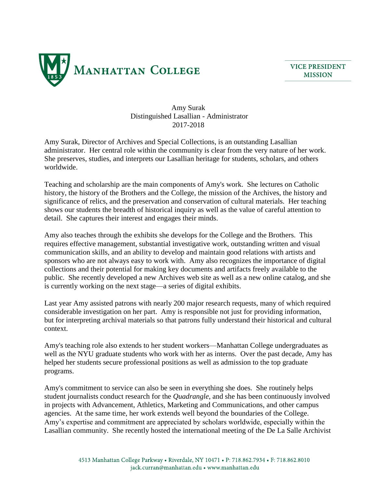

**VICE PRESIDENT MISSION** 

Amy Surak Distinguished Lasallian - Administrator 2017-2018

Amy Surak, Director of Archives and Special Collections, is an outstanding Lasallian administrator. Her central role within the community is clear from the very nature of her work. She preserves, studies, and interprets our Lasallian heritage for students, scholars, and others worldwide.

Teaching and scholarship are the main components of Amy's work. She lectures on Catholic history, the history of the Brothers and the College, the mission of the Archives, the history and significance of relics, and the preservation and conservation of cultural materials. Her teaching shows our students the breadth of historical inquiry as well as the value of careful attention to detail. She captures their interest and engages their minds.

Amy also teaches through the exhibits she develops for the College and the Brothers. This requires effective management, substantial investigative work, outstanding written and visual communication skills, and an ability to develop and maintain good relations with artists and sponsors who are not always easy to work with. Amy also recognizes the importance of digital collections and their potential for making key documents and artifacts freely available to the public. She recently developed a new Archives web site as well as a new online catalog, and she is currently working on the next stage—a series of digital exhibits.

Last year Amy assisted patrons with nearly 200 major research requests, many of which required considerable investigation on her part. Amy is responsible not just for providing information, but for interpreting archival materials so that patrons fully understand their historical and cultural context.

Amy's teaching role also extends to her student workers—Manhattan College undergraduates as well as the NYU graduate students who work with her as interns. Over the past decade, Amy has helped her students secure professional positions as well as admission to the top graduate programs.

Amy's commitment to service can also be seen in everything she does. She routinely helps student journalists conduct research for the *Quadrangle*, and she has been continuously involved in projects with Advancement, Athletics, Marketing and Communications, and other campus agencies. At the same time, her work extends well beyond the boundaries of the College. Amy's expertise and commitment are appreciated by scholars worldwide, especially within the Lasallian community. She recently hosted the international meeting of the De La Salle Archivist